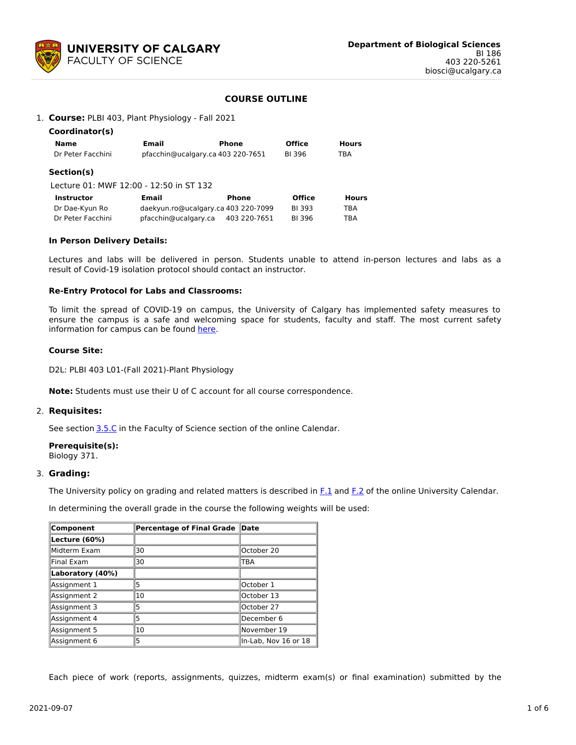

# **COURSE OUTLINE**

#### 1. **Course:** PLBI 403, Plant Physiology - Fall 2021

| Coordinator(s)                          |                                     |              |               |              |
|-----------------------------------------|-------------------------------------|--------------|---------------|--------------|
| Name                                    | Email                               | Phone        | <b>Office</b> | <b>Hours</b> |
| Dr Peter Facchini                       | pfacchin@ucalgary.ca 403 220-7651   |              | BI 396        | TBA          |
| Section(s)                              |                                     |              |               |              |
| Lecture 01: MWF 12:00 - 12:50 in ST 132 |                                     |              |               |              |
| <b>Instructor</b>                       | Email                               | Phone        | <b>Office</b> | <b>Hours</b> |
| Dr Dae-Kyun Ro                          | daekyun.ro@ucalgary.ca 403 220-7099 |              | BI 393        | TBA          |
| Dr Peter Facchini                       | pfacchin@ucalgary.ca                | 403 220-7651 | BI 396        | TBA          |

#### **In Person Delivery Details:**

Lectures and labs will be delivered in person. Students unable to attend in-person lectures and labs as a result of Covid-19 isolation protocol should contact an instructor.

#### **Re-Entry Protocol for Labs and Classrooms:**

To limit the spread of COVID-19 on campus, the University of Calgary has implemented safety measures to ensure the campus is a safe and welcoming space for students, faculty and staff. The most current safety information for campus can be found [here](https://www.ucalgary.ca/risk/emergency-management/covid-19-response/return-campus-safety).

#### **Course Site:**

D2L: PLBI 403 L01-(Fall 2021)-Plant Physiology

**Note:** Students must use their U of C account for all course correspondence.

#### 2. **Requisites:**

See section [3.5.C](http://www.ucalgary.ca/pubs/calendar/current/sc-3-5.html) in the Faculty of Science section of the online Calendar.

# **Prerequisite(s):**

Biology 371.

#### 3. **Grading:**

The University policy on grading and related matters is described in [F.1](http://www.ucalgary.ca/pubs/calendar/current/f-1.html) and [F.2](http://www.ucalgary.ca/pubs/calendar/current/f-2.html) of the online University Calendar.

In determining the overall grade in the course the following weights will be used:

| Component        | Percentage of Final Grade | $\ $ Date            |  |  |
|------------------|---------------------------|----------------------|--|--|
| Lecture (60%)    |                           |                      |  |  |
| Midterm Exam     | 30                        | October 20           |  |  |
| Final Exam       | 30                        | TBA                  |  |  |
| Laboratory (40%) |                           |                      |  |  |
| Assignment 1     | 5                         | October 1            |  |  |
| Assignment 2     | 10                        | October 13           |  |  |
| Assignment 3     | 5                         | October 27           |  |  |
| Assignment 4     | 5                         | December 6           |  |  |
| Assignment 5     | 10                        | lNovember 19         |  |  |
| Assignment 6     | 5                         | In-Lab, Nov 16 or 18 |  |  |

Each piece of work (reports, assignments, quizzes, midterm exam(s) or final examination) submitted by the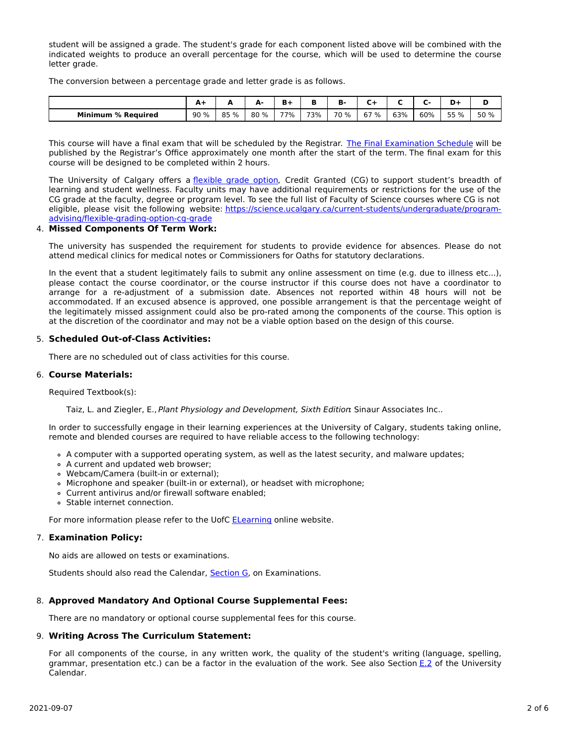student will be assigned a grade. The student's grade for each component listed above will be combined with the indicated weights to produce an overall percentage for the course, which will be used to determine the course letter grade.

The conversion between a percentage grade and letter grade is as follows.

|                           | $A+$ | -    | А-   | Ð   | ш   | в<br>B. | -    |     |     |      |      |
|---------------------------|------|------|------|-----|-----|---------|------|-----|-----|------|------|
| <b>Minimum % Required</b> | 90%  | 85 % | 80 % | 77% | 73% | 70 %    | 67 % | 63% | 60% | 55 % | 50 % |

This course will have a final exam that will be scheduled by the Registrar. The Final [Examination](https://www.ucalgary.ca/registrar/exams) Schedule will be published by the Registrar's Office approximately one month after the start of the term. The final exam for this course will be designed to be completed within 2 hours.

The University of Calgary offers a [flexible](https://www.ucalgary.ca/pubs/calendar/current/f-1-3.html) grade option, Credit Granted (CG) to support student's breadth of learning and student wellness. Faculty units may have additional requirements or restrictions for the use of the CG grade at the faculty, degree or program level. To see the full list of Faculty of Science courses where CG is not eligible, please visit the following website: [https://science.ucalgary.ca/current-students/undergraduate/program](https://science.ucalgary.ca/current-students/undergraduate/program-advising/flexible-grading-option-cg-grade)advising/flexible-grading-option-cg-grade

#### 4. **Missed Components Of Term Work:**

The university has suspended the requirement for students to provide evidence for absences. Please do not attend medical clinics for medical notes or Commissioners for Oaths for statutory declarations.

In the event that a student legitimately fails to submit any online assessment on time (e.g. due to illness etc...), please contact the course coordinator, or the course instructor if this course does not have a coordinator to arrange for a re-adjustment of a submission date. Absences not reported within 48 hours will not be accommodated. If an excused absence is approved, one possible arrangement is that the percentage weight of the legitimately missed assignment could also be pro-rated among the components of the course. This option is at the discretion of the coordinator and may not be a viable option based on the design of this course.

## 5. **Scheduled Out-of-Class Activities:**

There are no scheduled out of class activities for this course.

## 6. **Course Materials:**

Required Textbook(s):

Taiz, L. and Ziegler, E., Plant Physiology and Development, Sixth Edition Sinaur Associates Inc..

In order to successfully engage in their learning experiences at the University of Calgary, students taking online, remote and blended courses are required to have reliable access to the following technology:

- A computer with a supported operating system, as well as the latest security, and malware updates;
- A current and updated web browser;
- Webcam/Camera (built-in or external);
- Microphone and speaker (built-in or external), or headset with microphone;
- Current antivirus and/or firewall software enabled;
- Stable internet connection.

For more information please refer to the UofC **[ELearning](https://elearn.ucalgary.ca/technology-requirements-for-students)** online website.

## 7. **Examination Policy:**

No aids are allowed on tests or examinations.

Students should also read the Calendar, [Section](http://www.ucalgary.ca/pubs/calendar/current/g.html) G, on Examinations.

## 8. **Approved Mandatory And Optional Course Supplemental Fees:**

There are no mandatory or optional course supplemental fees for this course.

# 9. **Writing Across The Curriculum Statement:**

For all components of the course, in any written work, the quality of the student's writing (language, spelling, grammar, presentation etc.) can be a factor in the evaluation of the work. See also Section [E.2](http://www.ucalgary.ca/pubs/calendar/current/e-2.html) of the University Calendar.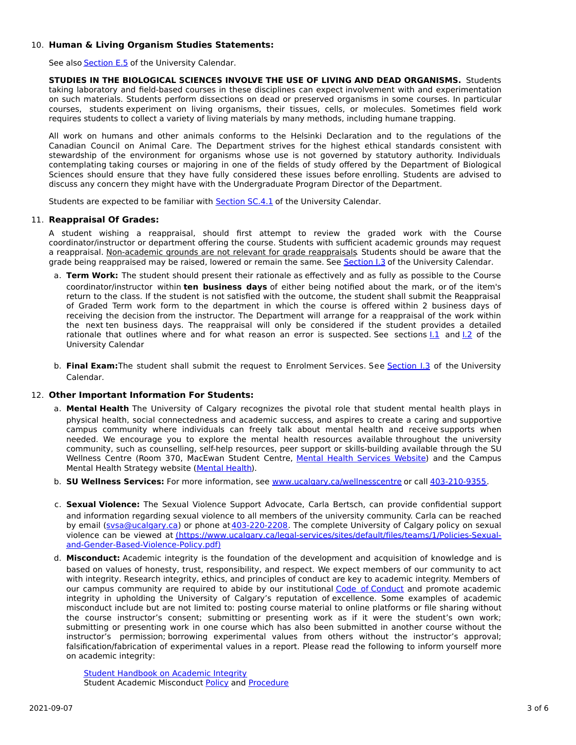## 10. **Human & Living Organism Studies Statements:**

See also **[Section](http://www.ucalgary.ca/pubs/calendar/current/e-5.html) E.5** of the University Calendar.

**STUDIES IN THE BIOLOGICAL SCIENCES INVOLVE THE USE OF LIVING AND DEAD ORGANISMS.** Students taking laboratory and field-based courses in these disciplines can expect involvement with and experimentation on such materials. Students perform dissections on dead or preserved organisms in some courses. In particular courses, students experiment on living organisms, their tissues, cells, or molecules. Sometimes field work requires students to collect a variety of living materials by many methods, including humane trapping.

All work on humans and other animals conforms to the Helsinki Declaration and to the regulations of the Canadian Council on Animal Care. The Department strives for the highest ethical standards consistent with stewardship of the environment for organisms whose use is not governed by statutory authority. Individuals contemplating taking courses or majoring in one of the fields of study offered by the Department of Biological Sciences should ensure that they have fully considered these issues before enrolling. Students are advised to discuss any concern they might have with the Undergraduate Program Director of the Department.

Students are expected to be familiar with **[Section](http://www.ucalgary.ca/pubs/calendar/current/sc-4-1.html) SC.4.1** of the University Calendar.

## 11. **Reappraisal Of Grades:**

A student wishing a reappraisal, should first attempt to review the graded work with the Course coordinator/instructor or department offering the course. Students with sufficient academic grounds may request a reappraisal. Non-academic grounds are not relevant for grade reappraisals. Students should be aware that the grade being reappraised may be raised, lowered or remain the same. See [Section](http://www.ucalgary.ca/pubs/calendar/current/i-3.html) I.3 of the University Calendar.

- a. **Term Work:** The student should present their rationale as effectively and as fully as possible to the Course coordinator/instructor within **ten business days** of either being notified about the mark, or of the item's return to the class. If the student is not satisfied with the outcome, the student shall submit the Reappraisal of Graded Term work form to the department in which the course is offered within 2 business days of receiving the decision from the instructor. The Department will arrange for a reappraisal of the work within the next ten business days. The reappraisal will only be considered if the student provides a detailed rationale that outlines where and for what reason an error is suspected. See sections  $1.1$  and  $1.2$  of the University Calendar
- b. **Final Exam:**The student shall submit the request to Enrolment Services. See [Section](http://www.ucalgary.ca/pubs/calendar/current/i-3.html) I.3 of the University Calendar.

## 12. **Other Important Information For Students:**

- a. **Mental Health** The University of Calgary recognizes the pivotal role that student mental health plays in physical health, social connectedness and academic success, and aspires to create a caring and supportive campus community where individuals can freely talk about mental health and receive supports when needed. We encourage you to explore the mental health resources available throughout the university community, such as counselling, self-help resources, peer support or skills-building available through the SU Wellness Centre (Room 370, MacEwan Student Centre, Mental Health [Services](https://www.ucalgary.ca/wellnesscentre/services/mental-health-services) Website) and the Campus Mental Health Strategy website [\(Mental](http://www.ucalgary.ca/mentalhealth) Health).
- b. **SU Wellness Services:** For more information, see [www.ucalgary.ca/wellnesscentre](http://www.ucalgary.ca/wellnesscentre) or call [403-210-9355.](tel:4032109355)
- c. **Sexual Violence:** The Sexual Violence Support Advocate, Carla Bertsch, can provide confidential support and information regarding sexual violence to all members of the university community. Carla can be reached by email [\(svsa@ucalgary.ca](mailto:svsa@ucalgary.ca)) or phone at [403-220-2208](tel:4032202208). The complete University of Calgary policy on sexual violence can be viewed at [\(https://www.ucalgary.ca/legal-services/sites/default/files/teams/1/Policies-Sexual](https://www.ucalgary.ca/legal-services/sites/default/files/teams/1/Policies-Sexual-and-Gender-Based-Violence-Policy.pdf)and-Gender-Based-Violence-Policy.pdf)
- d. **Misconduct:** Academic integrity is the foundation of the development and acquisition of knowledge and is based on values of honesty, trust, responsibility, and respect. We expect members of our community to act with integrity. Research integrity, ethics, and principles of conduct are key to academic integrity. Members of our campus community are required to abide by our institutional Code of [Conduct](https://www.ucalgary.ca/legal-services/sites/default/files/teams/1/Policies-Code-of-Conduct.pdf) and promote academic integrity in upholding the University of Calgary's reputation of excellence. Some examples of academic misconduct include but are not limited to: posting course material to online platforms or file sharing without the course instructor's consent; submitting or presenting work as if it were the student's own work; submitting or presenting work in one course which has also been submitted in another course without the instructor's permission; borrowing experimental values from others without the instructor's approval; falsification/fabrication of experimental values in a report. Please read the following to inform yourself more on academic integrity:

Student [Handbook](https://www.ucalgary.ca/live-uc-ucalgary-site/sites/default/files/teams/9/AI-Student-handbook-1.pdf) on Academic Integrity Student Academic Misconduct [Policy](https://www.ucalgary.ca/legal-services/sites/default/files/teams/1/Policies-Student-Academic-Misconduct-Policy.pdf) and [Procedure](https://www.ucalgary.ca/legal-services/sites/default/files/teams/1/Policies-Student-Academic-Misconduct-Procedure.pdf)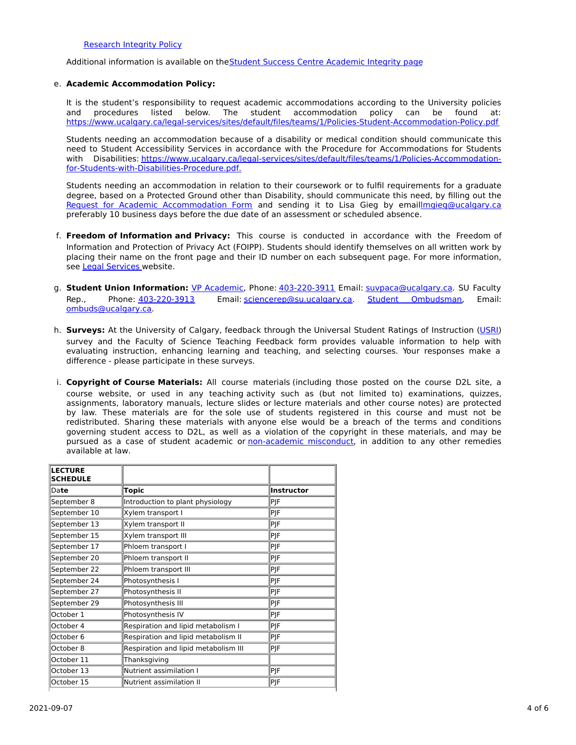#### [Research](https://www.ucalgary.ca/legal-services/sites/default/files/teams/1/Policies-Research-Integrity-Policy.pdf) Integrity Policy

Additional information is available on theStudent Success Centre [Academic](https://ucalgary.ca/student-services/student-success/learning/academic-integrity) Integrity page

#### e. **Academic Accommodation Policy:**

It is the student's responsibility to request academic accommodations according to the University policies and<br>
It is the student accommodation policy can be found at: and procedures listed below. The student accommodation policy can be found at: <https://www.ucalgary.ca/legal-services/sites/default/files/teams/1/Policies-Student-Accommodation-Policy.pdf>

Students needing an accommodation because of a disability or medical condition should communicate this need to Student Accessibility Services in accordance with the Procedure for Accommodations for Students with Disabilities: [https://www.ucalgary.ca/legal-services/sites/default/files/teams/1/Policies-Accommodation](https://www.ucalgary.ca/legal-services/sites/default/files/teams/1/Policies-Accommodation-for-Students-with-Disabilities-Procedure.pdf)for-Students-with-Disabilities-Procedure.pdf.

Students needing an accommodation in relation to their coursework or to fulfil requirements for a graduate degree, based on a Protected Ground other than Disability, should communicate this need, by filling out the Request for Academic [Accommodation](https://science.ucalgary.ca/sites/default/files/teams/1/request-accommodation-academic-courses.pdf) Form and sending it to Lisa Gieg by emai[llmgieg@ucalgary.ca](mailto:lmgieg@ucalgary.ca) preferably 10 business days before the due date of an assessment or scheduled absence.

- f. **Freedom of Information and Privacy:** This course is conducted in accordance with the Freedom of Information and Protection of Privacy Act (FOIPP). Students should identify themselves on all written work by placing their name on the front page and their ID number on each subsequent page. For more information, see Legal [Services](https://www.ucalgary.ca/legal-services/access-information-privacy) website.
- g. **Student Union Information:** VP [Academic](http://www.su.ucalgary.ca/contact), Phone: [403-220-3911](tel:4032203911) Email: [suvpaca@ucalgary.ca](mailto:suvpaca@ucalgary.ca). SU Faculty Rep., Phone: [403-220-3913](tel:4032203913) Email: [sciencerep@su.ucalgary.ca](mailto:sciencerep@su.ucalgary.ca). Student [Ombudsman](https://www.ucalgary.ca/ombuds/), Email: [ombuds@ucalgary.ca](mailto:%20ombuds@ucalgary.ca).
- h. **Surveys:** At the University of Calgary, feedback through the Universal Student Ratings of Instruction [\(USRI](http://www.ucalgary.ca/usri)) survey and the Faculty of Science Teaching Feedback form provides valuable information to help with evaluating instruction, enhancing learning and teaching, and selecting courses. Your responses make a difference - please participate in these surveys.
- i. **Copyright of Course Materials:** All course materials (including those posted on the course D2L site, a course website, or used in any teaching activity such as (but not limited to) examinations, quizzes, assignments, laboratory manuals, lecture slides or lecture materials and other course notes) are protected by law. These materials are for the sole use of students registered in this course and must not be redistributed. Sharing these materials with anyone else would be a breach of the terms and conditions governing student access to D2L, as well as a violation of the copyright in these materials, and may be pursued as a case of student academic or [non-academic](https://www.ucalgary.ca/conduct/policy/non-academic-misconduct-policy) misconduct, in addition to any other remedies available at law.

| <b>LECTURE</b><br><b>SCHEDULE</b> |                                      |            |
|-----------------------------------|--------------------------------------|------------|
| Date                              | <b>Topic</b>                         | Instructor |
| September 8                       | Introduction to plant physiology     | PJF        |
| September 10                      | Xylem transport I                    | PJF        |
| September 13                      | Xylem transport II                   | PJF        |
| September 15                      | Xylem transport III                  | PJF        |
| September 17                      | Phloem transport I                   | PJF        |
| September 20                      | Phloem transport II                  | PJF        |
| September 22                      | Phloem transport III                 | PJF        |
| September 24                      | Photosynthesis I                     | PJF        |
| September 27                      | Photosynthesis II                    | PJF        |
| September 29                      | Photosynthesis III                   | PJF        |
| October 1                         | Photosynthesis IV                    | PJF        |
| October 4                         | Respiration and lipid metabolism I   | PJF        |
| October 6                         | Respiration and lipid metabolism II  | PJF        |
| October 8                         | Respiration and lipid metabolism III | PJF        |
| October 11                        | Thanksgiving                         |            |
| October 13                        | Nutrient assimilation I              | PJF        |
| October 15                        | Nutrient assimilation II             | PJF        |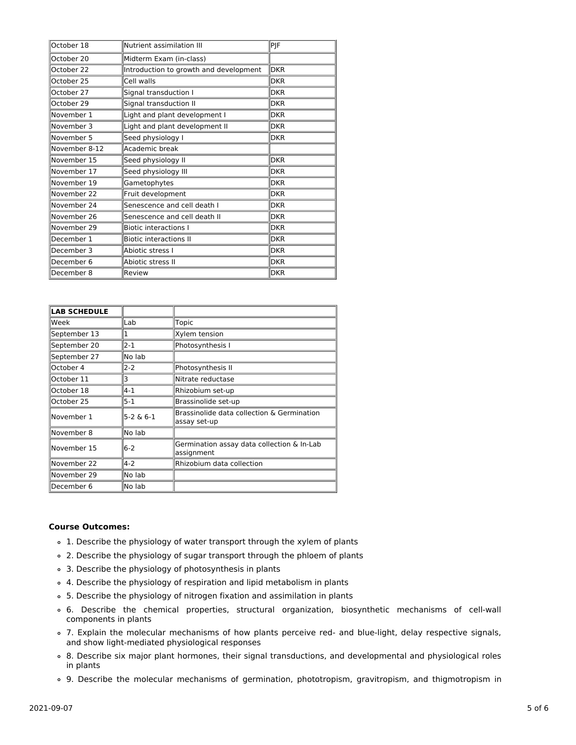| October 18    | Nutrient assimilation III              | PJF        |
|---------------|----------------------------------------|------------|
| October 20    | Midterm Exam (in-class)                |            |
| October 22    | Introduction to growth and development | <b>DKR</b> |
| October 25    | Cell walls                             | <b>DKR</b> |
| October 27    | Signal transduction I                  | <b>DKR</b> |
| October 29    | Signal transduction II                 | <b>DKR</b> |
| November 1    | Light and plant development I          | <b>DKR</b> |
| November 3    | Light and plant development II         | <b>DKR</b> |
| November 5    | Seed physiology I                      | <b>DKR</b> |
| November 8-12 | Academic break                         |            |
| November 15   | Seed physiology II                     | <b>DKR</b> |
| November 17   | Seed physiology III                    | <b>DKR</b> |
| November 19   | Gametophytes                           | <b>DKR</b> |
| November 22   | Fruit development                      | <b>DKR</b> |
| November 24   | Senescence and cell death I            | <b>DKR</b> |
| November 26   | Senescence and cell death II           | <b>DKR</b> |
| November 29   | <b>Biotic interactions I</b>           | <b>DKR</b> |
| December 1    | <b>Biotic interactions II</b>          | <b>DKR</b> |
| December 3    | Abiotic stress I                       | <b>DKR</b> |
| December 6    | Abiotic stress II                      | <b>DKR</b> |
| December 8    | Review                                 | <b>DKR</b> |

| <b>LAB SCHEDULE</b> |             |                                                            |
|---------------------|-------------|------------------------------------------------------------|
|                     |             |                                                            |
| Week                | Lab         | Topic                                                      |
| September 13        | 1           | Xylem tension                                              |
| September 20        | $2 - 1$     | Photosynthesis I                                           |
| September 27        | No lab      |                                                            |
| October 4           | $2 - 2$     | Photosynthesis II                                          |
| October 11          | 3           | Nitrate reductase                                          |
| October 18          | $4 - 1$     | Rhizobium set-up                                           |
| October 25          | $5-1$       | Brassinolide set-up                                        |
| November 1          | $5-2 & 6-1$ | Brassinolide data collection & Germination<br>assay set-up |
| November 8          | lNo lab     |                                                            |
| November 15         | $6-2$       | Germination assay data collection & In-Lab<br>assignment   |
| November 22         | $4-2$       | Rhizobium data collection                                  |
| November 29         | No lab      |                                                            |
| December 6          | No lab      |                                                            |

## **Course Outcomes:**

- 1. Describe the physiology of water transport through the xylem of plants
- 2. Describe the physiology of sugar transport through the phloem of plants
- 3. Describe the physiology of photosynthesis in plants
- 4. Describe the physiology of respiration and lipid metabolism in plants
- 5. Describe the physiology of nitrogen fixation and assimilation in plants
- 6. Describe the chemical properties, structural organization, biosynthetic mechanisms of cell-wall components in plants
- 7. Explain the molecular mechanisms of how plants perceive red- and blue-light, delay respective signals, and show light-mediated physiological responses
- 8. Describe six major plant hormones, their signal transductions, and developmental and physiological roles in plants
- 9. Describe the molecular mechanisms of germination, phototropism, gravitropism, and thigmotropism in